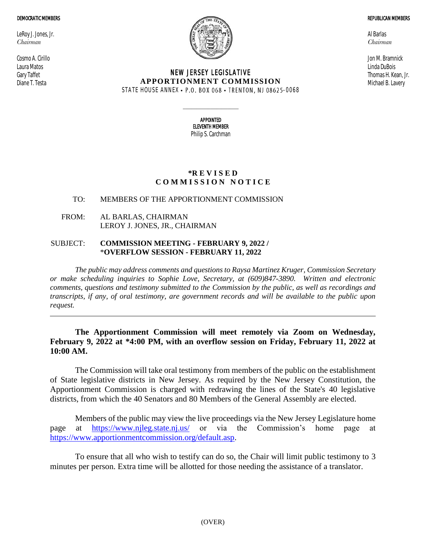#### DEMOCRATIC MEMBERS

LeRoy J. Jones, Jr. *Chairman*

Cosmo A. Cirillo Laura Matos Gary Taffet Diane T. Testa



## NEW JERSEY LEGISLATIVE **APPORTIONMENT COMMISSION** STATE HOUSE ANNEX • P.O. BOX 068 • TRENTON, NJ 08625-0068

Al Barlas *Chairman*

Jon M. Bramnick Linda DuBois Thomas H. Kean, Jr. Michael B. Lavery

REPUBLICAN MEMBERS

APPOINTED ELEVENTH MEMBER Philip S. Carchman

 $\_$ 

## **\*R E V I S E D C O M M I S S I O N N O T I C E**

# TO: MEMBERS OF THE APPORTIONMENT COMMISSION

FROM: AL BARLAS, CHAIRMAN LEROY J. JONES, JR., CHAIRMAN

## SUBJECT: **COMMISSION MEETING - FEBRUARY 9, 2022 /** \***OVERFLOW SESSION - FEBRUARY 11, 2022**

*The public may address comments and questions to Raysa Martinez Kruger, Commission Secretary or make scheduling inquiries to Sophie Love, Secretary, at (609)847-3890. Written and electronic comments, questions and testimony submitted to the Commission by the public, as well as recordings and transcripts, if any, of oral testimony, are government records and will be available to the public upon request.*

## **The Apportionment Commission will meet remotely via Zoom on Wednesday, February 9, 2022 at \*4:00 PM, with an overflow session on Friday, February 11, 2022 at 10:00 AM.**

The Commission will take oral testimony from members of the public on the establishment of State legislative districts in New Jersey. As required by the New Jersey Constitution, the Apportionment Commission is charged with redrawing the lines of the State's 40 legislative districts, from which the 40 Senators and 80 Members of the General Assembly are elected.

Members of the public may view the live proceedings via the New Jersey Legislature home<br>at  $\frac{https://www.nileg.state.nj.us/}{https://www.nileg.state.nj.us/}$  or via the Commission's home page at page at <https://www.njleg.state.nj.us/> or via the Commission's home page at [https://www.apportionmentcommission.org/default.asp.](https://www.apportionmentcommission.org/default.asp)

To ensure that all who wish to testify can do so, the Chair will limit public testimony to 3 minutes per person. Extra time will be allotted for those needing the assistance of a translator.